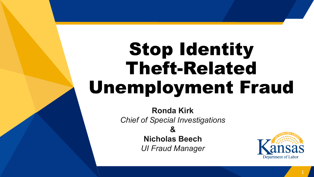# Stop Identity Theft-Related Unemployment Fraud

**Ronda Kirk** *Chief of Special Investigations* 

**&**

**Nicholas Beech** *UI Fraud Manager*

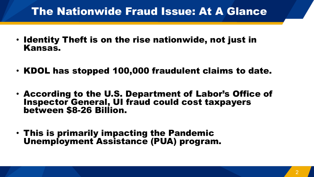# The Nationwide Fraud Issue: At A Glance

- Identity Theft is on the rise nationwide, not just in Kansas.
- KDOL has stopped 100,000 fraudulent claims to date.
- According to the U.S. Department of Labor's Office of Inspector General, UI fraud could cost taxpayers between \$8-26 Billion.
- This is primarily impacting the Pandemic Unemployment Assistance (PUA) program.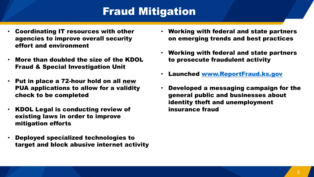# Fraud Mitigation

- Coordinating IT resources with other agencies to improve overall security effort and environment
- More than doubled the size of the KDOL Fraud & Special Investigation Unit
- Put in place a 72-hour hold on all new PUA applications to allow for a validity check to be completed
- KDOL Legal is conducting review of existing laws in order to improve mitigation efforts
- Deployed specialized technologies to target and block abusive internet activity
- Working with federal and state partners on emerging trends and best practices
- Working with federal and state partners to prosecute fraudulent activity
- Launched [www.ReportFraud.ks.gov](http://www.reportfraud.ks.gov/)
- Developed a messaging campaign for the general public and businesses about identity theft and unemployment insurance fraud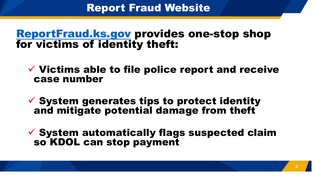### Report Fraud Website

### [ReportFraud.ks.gov](http://www.reportfraud.ks.gov/) provides one-stop shop for victims of identity theft:

### $\checkmark$  Victims able to file police report and receive case number

 $\checkmark$  System generates tips to protect identity and mitigate potential damage from theft

 $\checkmark$  System automatically flags suspected claim so KDOL can stop payment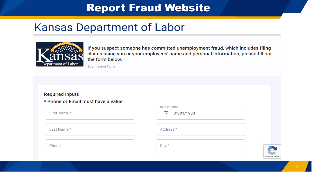# Report Fraud Website

# **Kansas Department of Labor**



If you suspect someone has committed unemployment fraud, which includes filing claims using you or your employees' name and personal information, please fill out the form below.

Submission Form

#### **Required Inputs**

\* Phone or Email must have a value

| First Name* | 01/01/1980<br>o                           |
|-------------|-------------------------------------------|
| Last Name*  | Address*                                  |
| Phone       | City $*$<br><b>The Contract of Street</b> |
|             | Privacy - Terms                           |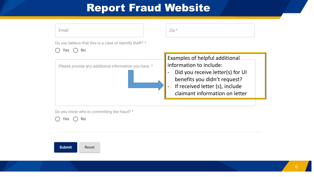# Report Fraud Website

| Email                                                                 | $Zip *$                                                                                                                                                                                            |  |  |
|-----------------------------------------------------------------------|----------------------------------------------------------------------------------------------------------------------------------------------------------------------------------------------------|--|--|
| Do you believe that this is a case of identify theft? *<br>No.<br>Yes |                                                                                                                                                                                                    |  |  |
| Please provide any additional information you have. *                 | Examples of helpful additional<br>information to include:<br>Did you receive letter(s) for UI<br>benefits you didn't request?<br>If received letter (s), include<br>claimant information on letter |  |  |

Do you know who is committing the fraud? \*

 $\bigcirc$  Yes  $\bigcirc$  No

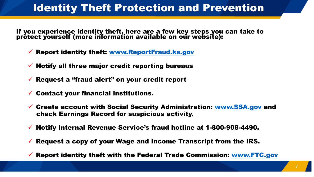# Identity Theft Protection and Prevention

If you experience identity theft, here are a few key steps you can take to prótect yourself (more information available on our website):

- Report identity theft: [www.ReportFraud.ks.gov](http://www.reportfraud.ks.gov/)
- Notify all three major credit reporting bureaus
- Request a "fraud alert" on your credit report
- Contact your financial institutions.
- Create account with Social Security Administration: [www.SSA.gov](http://www.ssa.gov/) and check Earnings Record for suspicious activity.
- $\checkmark$  Notify Internal Revenue Service's fraud hotline at 1-800-908-4490.
- $\checkmark$  Request a copy of your Wage and Income Transcript from the IRS.
- Report identity theft with the Federal Trade Commission: [www.FTC.gov](http://www.ftc.gov/)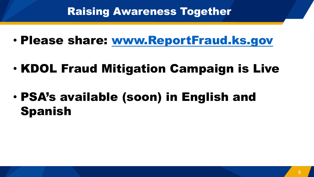### Raising Awareness Together

- Please share: [www.ReportFraud.ks.gov](http://www.reportfraud.ks.gov/)
- KDOL Fraud Mitigation Campaign is Live
- PSA's available (soon) in English and Spanish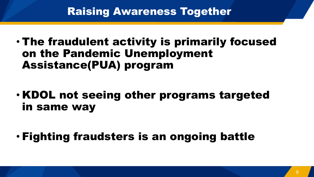### Raising Awareness Together

- The fraudulent activity is primarily focused on the Pandemic Unemployment Assistance(PUA) program
- KDOL not seeing other programs targeted in same way
- Fighting fraudsters is an ongoing battle